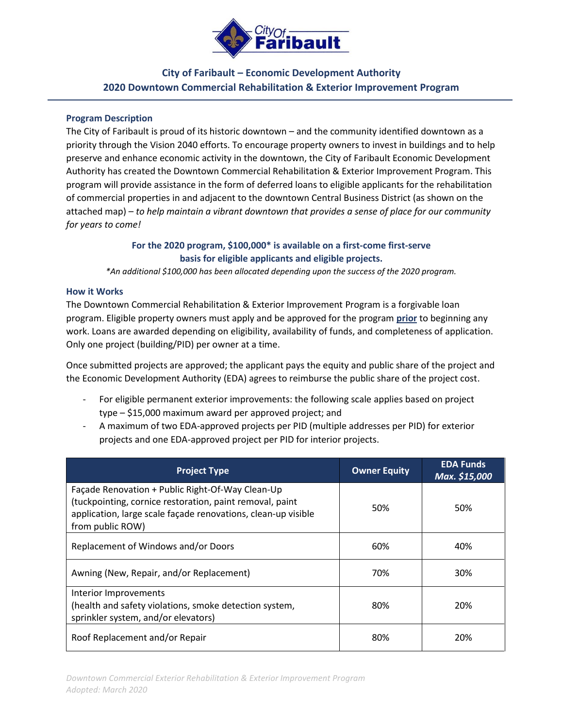

## **City of Faribault – Economic Development Authority 2020 Downtown Commercial Rehabilitation & Exterior Improvement Program**

#### **Program Description**

The City of Faribault is proud of its historic downtown – and the community identified downtown as a priority through the Vision 2040 efforts. To encourage property owners to invest in buildings and to help preserve and enhance economic activity in the downtown, the City of Faribault Economic Development Authority has created the Downtown Commercial Rehabilitation & Exterior Improvement Program. This program will provide assistance in the form of deferred loans to eligible applicants for the rehabilitation of commercial properties in and adjacent to the downtown Central Business District (as shown on the attached map) – *to help maintain a vibrant downtown that provides a sense of place for our community for years to come!*

## **For the 2020 program, \$100,000\* is available on a first-come first-serve basis for eligible applicants and eligible projects.**

*\*An additional \$100,000 has been allocated depending upon the success of the 2020 program.*

#### **How it Works**

The Downtown Commercial Rehabilitation & Exterior Improvement Program is a forgivable loan program. Eligible property owners must apply and be approved for the program **prior** to beginning any work. Loans are awarded depending on eligibility, availability of funds, and completeness of application. Only one project (building/PID) per owner at a time.

Once submitted projects are approved; the applicant pays the equity and public share of the project and the Economic Development Authority (EDA) agrees to reimburse the public share of the project cost.

- For eligible permanent exterior improvements: the following scale applies based on project type – \$15,000 maximum award per approved project; and
- A maximum of two EDA-approved projects per PID (multiple addresses per PID) for exterior projects and one EDA-approved project per PID for interior projects.

| <b>Project Type</b>                                                                                                                                                                               | <b>Owner Equity</b> | <b>EDA Funds</b><br>Max. \$15,000 |
|---------------------------------------------------------------------------------------------------------------------------------------------------------------------------------------------------|---------------------|-----------------------------------|
| Façade Renovation + Public Right-Of-Way Clean-Up<br>(tuckpointing, cornice restoration, paint removal, paint<br>application, large scale façade renovations, clean-up visible<br>from public ROW) | 50%                 | 50%                               |
| Replacement of Windows and/or Doors                                                                                                                                                               | 60%                 | 40%                               |
| Awning (New, Repair, and/or Replacement)                                                                                                                                                          | 70%                 | 30%                               |
| Interior Improvements<br>(health and safety violations, smoke detection system,<br>sprinkler system, and/or elevators)                                                                            | 80%                 | 20%                               |
| Roof Replacement and/or Repair                                                                                                                                                                    | 80%                 | 20%                               |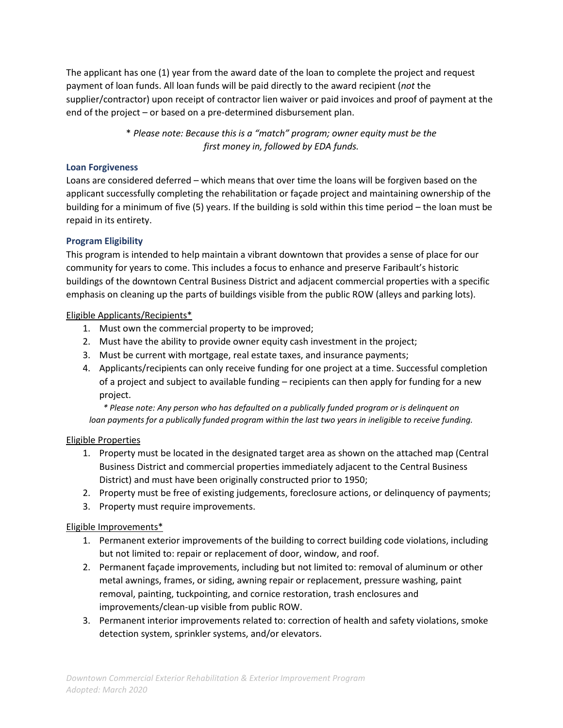The applicant has one (1) year from the award date of the loan to complete the project and request payment of loan funds. All loan funds will be paid directly to the award recipient (*not* the supplier/contractor) upon receipt of contractor lien waiver or paid invoices and proof of payment at the end of the project – or based on a pre-determined disbursement plan.

> \* *Please note: Because this is a "match" program; owner equity must be the first money in, followed by EDA funds.*

#### **Loan Forgiveness**

Loans are considered deferred – which means that over time the loans will be forgiven based on the applicant successfully completing the rehabilitation or façade project and maintaining ownership of the building for a minimum of five (5) years. If the building is sold within this time period – the loan must be repaid in its entirety.

## **Program Eligibility**

This program is intended to help maintain a vibrant downtown that provides a sense of place for our community for years to come. This includes a focus to enhance and preserve Faribault's historic buildings of the downtown Central Business District and adjacent commercial properties with a specific emphasis on cleaning up the parts of buildings visible from the public ROW (alleys and parking lots).

## Eligible Applicants/Recipients\*

- 1. Must own the commercial property to be improved;
- 2. Must have the ability to provide owner equity cash investment in the project;
- 3. Must be current with mortgage, real estate taxes, and insurance payments;
- 4. Applicants/recipients can only receive funding for one project at a time. Successful completion of a project and subject to available funding – recipients can then apply for funding for a new project.

*\* Please note: Any person who has defaulted on a publically funded program or is delinquent on loan payments for a publically funded program within the last two years in ineligible to receive funding.*

## Eligible Properties

- 1. Property must be located in the designated target area as shown on the attached map (Central Business District and commercial properties immediately adjacent to the Central Business District) and must have been originally constructed prior to 1950;
- 2. Property must be free of existing judgements, foreclosure actions, or delinquency of payments;
- 3. Property must require improvements.

## Eligible Improvements\*

- 1. Permanent exterior improvements of the building to correct building code violations, including but not limited to: repair or replacement of door, window, and roof.
- 2. Permanent façade improvements, including but not limited to: removal of aluminum or other metal awnings, frames, or siding, awning repair or replacement, pressure washing, paint removal, painting, tuckpointing, and cornice restoration, trash enclosures and improvements/clean-up visible from public ROW.
- 3. Permanent interior improvements related to: correction of health and safety violations, smoke detection system, sprinkler systems, and/or elevators.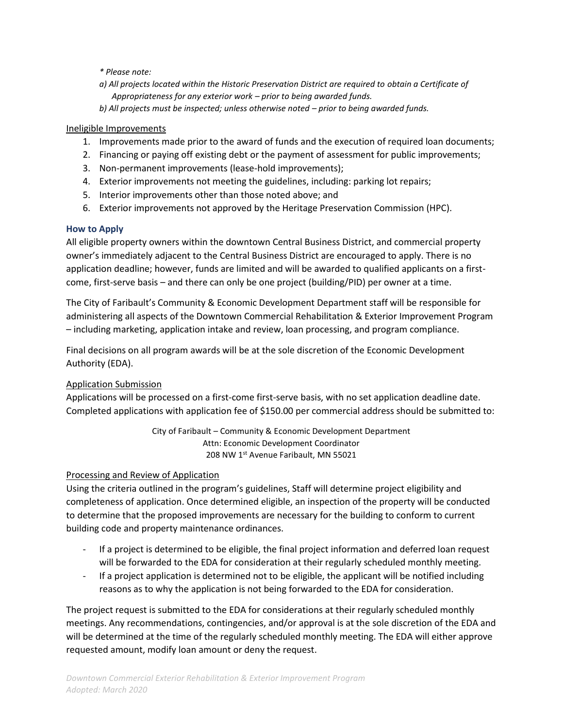*\* Please note:*

- *a) All projects located within the Historic Preservation District are required to obtain a Certificate of Appropriateness for any exterior work – prior to being awarded funds.*
- *b) All projects must be inspected; unless otherwise noted prior to being awarded funds.*

#### Ineligible Improvements

- 1. Improvements made prior to the award of funds and the execution of required loan documents;
- 2. Financing or paying off existing debt or the payment of assessment for public improvements;
- 3. Non-permanent improvements (lease-hold improvements);
- 4. Exterior improvements not meeting the guidelines, including: parking lot repairs;
- 5. Interior improvements other than those noted above; and
- 6. Exterior improvements not approved by the Heritage Preservation Commission (HPC).

#### **How to Apply**

All eligible property owners within the downtown Central Business District, and commercial property owner's immediately adjacent to the Central Business District are encouraged to apply. There is no application deadline; however, funds are limited and will be awarded to qualified applicants on a firstcome, first-serve basis – and there can only be one project (building/PID) per owner at a time.

The City of Faribault's Community & Economic Development Department staff will be responsible for administering all aspects of the Downtown Commercial Rehabilitation & Exterior Improvement Program – including marketing, application intake and review, loan processing, and program compliance.

Final decisions on all program awards will be at the sole discretion of the Economic Development Authority (EDA).

## Application Submission

Applications will be processed on a first-come first-serve basis, with no set application deadline date. Completed applications with application fee of \$150.00 per commercial address should be submitted to:

> City of Faribault – Community & Economic Development Department Attn: Economic Development Coordinator 208 NW 1st Avenue Faribault, MN 55021

## Processing and Review of Application

Using the criteria outlined in the program's guidelines, Staff will determine project eligibility and completeness of application. Once determined eligible, an inspection of the property will be conducted to determine that the proposed improvements are necessary for the building to conform to current building code and property maintenance ordinances.

- If a project is determined to be eligible, the final project information and deferred loan request will be forwarded to the EDA for consideration at their regularly scheduled monthly meeting.
- If a project application is determined not to be eligible, the applicant will be notified including reasons as to why the application is not being forwarded to the EDA for consideration.

The project request is submitted to the EDA for considerations at their regularly scheduled monthly meetings. Any recommendations, contingencies, and/or approval is at the sole discretion of the EDA and will be determined at the time of the regularly scheduled monthly meeting. The EDA will either approve requested amount, modify loan amount or deny the request.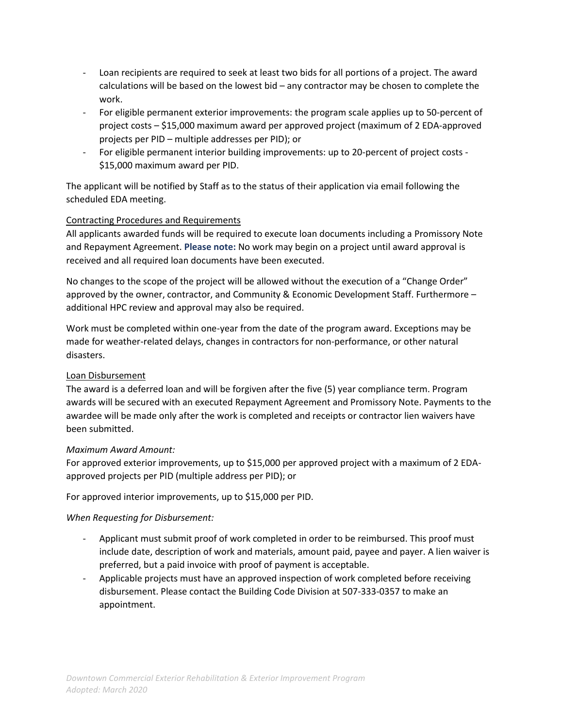- Loan recipients are required to seek at least two bids for all portions of a project. The award calculations will be based on the lowest bid – any contractor may be chosen to complete the work.
- For eligible permanent exterior improvements: the program scale applies up to 50-percent of project costs – \$15,000 maximum award per approved project (maximum of 2 EDA-approved projects per PID – multiple addresses per PID); or
- For eligible permanent interior building improvements: up to 20-percent of project costs \$15,000 maximum award per PID.

The applicant will be notified by Staff as to the status of their application via email following the scheduled EDA meeting.

## Contracting Procedures and Requirements

All applicants awarded funds will be required to execute loan documents including a Promissory Note and Repayment Agreement. **Please note:** No work may begin on a project until award approval is received and all required loan documents have been executed.

No changes to the scope of the project will be allowed without the execution of a "Change Order" approved by the owner, contractor, and Community & Economic Development Staff. Furthermore – additional HPC review and approval may also be required.

Work must be completed within one-year from the date of the program award. Exceptions may be made for weather-related delays, changes in contractors for non-performance, or other natural disasters.

## Loan Disbursement

The award is a deferred loan and will be forgiven after the five (5) year compliance term. Program awards will be secured with an executed Repayment Agreement and Promissory Note. Payments to the awardee will be made only after the work is completed and receipts or contractor lien waivers have been submitted.

## *Maximum Award Amount:*

For approved exterior improvements, up to \$15,000 per approved project with a maximum of 2 EDAapproved projects per PID (multiple address per PID); or

For approved interior improvements, up to \$15,000 per PID.

## *When Requesting for Disbursement:*

- Applicant must submit proof of work completed in order to be reimbursed. This proof must include date, description of work and materials, amount paid, payee and payer. A lien waiver is preferred, but a paid invoice with proof of payment is acceptable.
- Applicable projects must have an approved inspection of work completed before receiving disbursement. Please contact the Building Code Division at 507-333-0357 to make an appointment.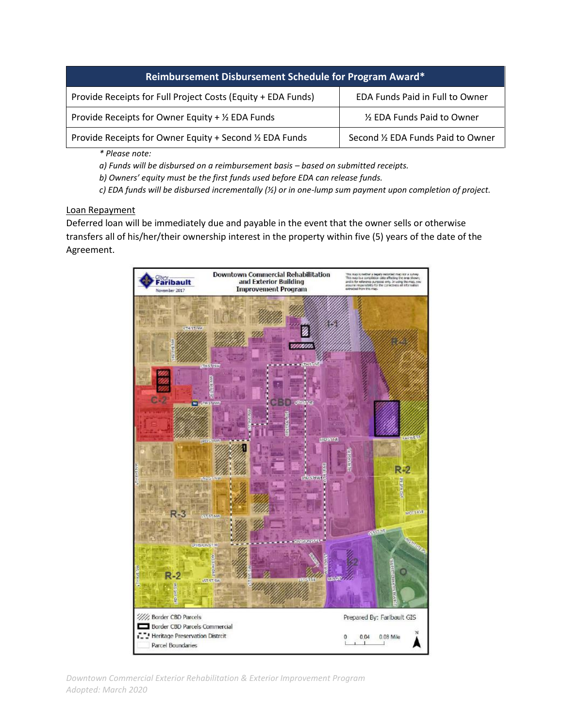| Reimbursement Disbursement Schedule for Program Award*       |                                    |  |
|--------------------------------------------------------------|------------------------------------|--|
| Provide Receipts for Full Project Costs (Equity + EDA Funds) | EDA Funds Paid in Full to Owner    |  |
| Provide Receipts for Owner Equity + $\frac{1}{2}$ EDA Funds  | 1/2 EDA Funds Paid to Owner        |  |
| Provide Receipts for Owner Equity + Second 1/2 EDA Funds     | Second 1/2 EDA Funds Paid to Owner |  |

*\* Please note:*

*a) Funds will be disbursed on a reimbursement basis – based on submitted receipts.*

*b) Owners' equity must be the first funds used before EDA can release funds.*

*c) EDA funds will be disbursed incrementally (½) or in one-lump sum payment upon completion of project.*

#### Loan Repayment

Deferred loan will be immediately due and payable in the event that the owner sells or otherwise transfers all of his/her/their ownership interest in the property within five (5) years of the date of the Agreement.

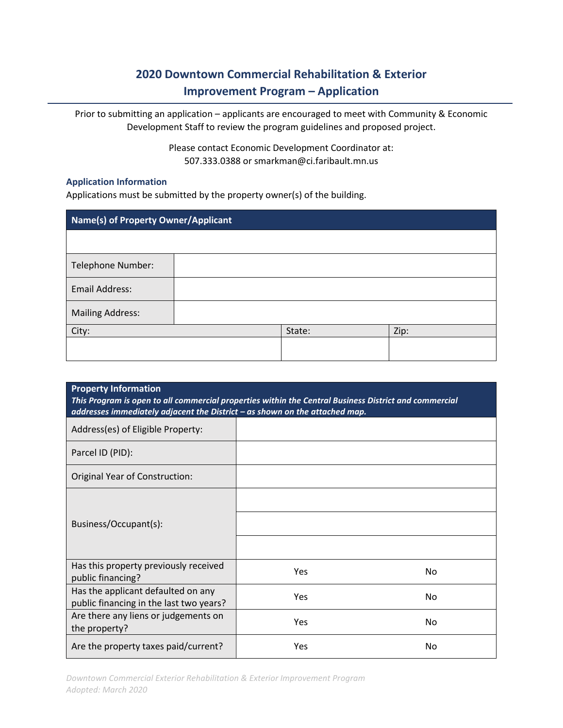# **2020 Downtown Commercial Rehabilitation & Exterior Improvement Program – Application**

Prior to submitting an application – applicants are encouraged to meet with Community & Economic Development Staff to review the program guidelines and proposed project.

> Please contact Economic Development Coordinator at: 507.333.0388 or smarkman@ci.faribault.mn.us

#### **Application Information**

Applications must be submitted by the property owner(s) of the building.

| Name(s) of Property Owner/Applicant |  |        |      |
|-------------------------------------|--|--------|------|
|                                     |  |        |      |
| Telephone Number:                   |  |        |      |
| <b>Email Address:</b>               |  |        |      |
| <b>Mailing Address:</b>             |  |        |      |
| City:                               |  | State: | Zip: |
|                                     |  |        |      |

| <b>Property Information</b><br>This Program is open to all commercial properties within the Central Business District and commercial<br>addresses immediately adjacent the District - as shown on the attached map. |            |                |  |
|---------------------------------------------------------------------------------------------------------------------------------------------------------------------------------------------------------------------|------------|----------------|--|
| Address(es) of Eligible Property:                                                                                                                                                                                   |            |                |  |
| Parcel ID (PID):                                                                                                                                                                                                    |            |                |  |
| Original Year of Construction:                                                                                                                                                                                      |            |                |  |
| Business/Occupant(s):                                                                                                                                                                                               |            |                |  |
| Has this property previously received<br>public financing?                                                                                                                                                          | <b>Yes</b> | No.            |  |
| Has the applicant defaulted on any<br>public financing in the last two years?                                                                                                                                       | <b>Yes</b> | N <sub>0</sub> |  |
| Are there any liens or judgements on<br>the property?                                                                                                                                                               | Yes        | No             |  |
| Are the property taxes paid/current?                                                                                                                                                                                | Yes        | No             |  |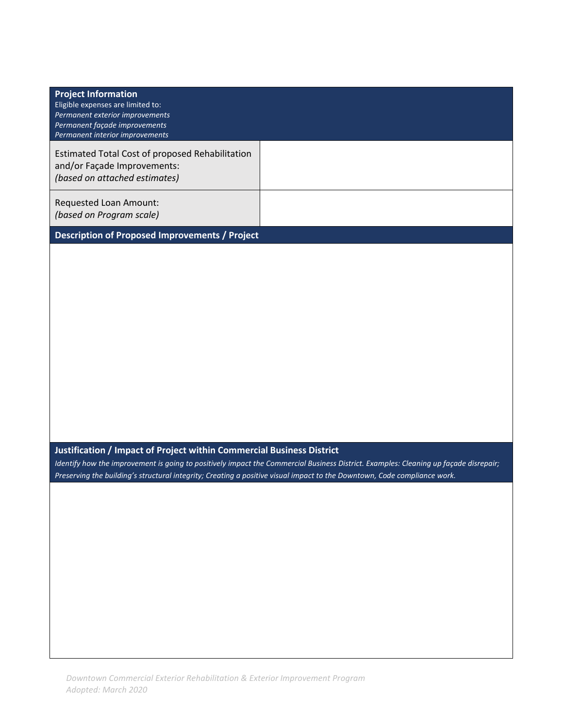| <b>Project Information</b><br>Eligible expenses are limited to:<br>Permanent exterior improvements<br>Permanent façade improvements<br>Permanent interior improvements                            |                                                                                                                                      |
|---------------------------------------------------------------------------------------------------------------------------------------------------------------------------------------------------|--------------------------------------------------------------------------------------------------------------------------------------|
| Estimated Total Cost of proposed Rehabilitation<br>and/or Façade Improvements:<br>(based on attached estimates)                                                                                   |                                                                                                                                      |
| Requested Loan Amount:<br>(based on Program scale)                                                                                                                                                |                                                                                                                                      |
| Description of Proposed Improvements / Project                                                                                                                                                    |                                                                                                                                      |
|                                                                                                                                                                                                   |                                                                                                                                      |
| Justification / Impact of Project within Commercial Business District<br>Preserving the building's structural integrity; Creating a positive visual impact to the Downtown, Code compliance work. | Identify how the improvement is going to positively impact the Commercial Business District. Examples: Cleaning up façade disrepair; |
|                                                                                                                                                                                                   |                                                                                                                                      |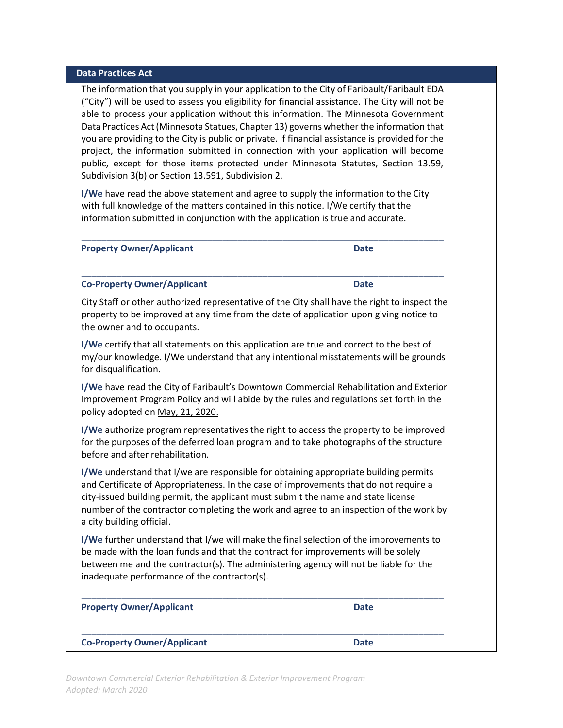#### **Data Practices Act**

The information that you supply in your application to the City of Faribault/Faribault EDA ("City") will be used to assess you eligibility for financial assistance. The City will not be able to process your application without this information. The Minnesota Government Data Practices Act(Minnesota Statues, Chapter 13) governs whether the information that you are providing to the City is public or private. If financial assistance is provided for the project, the information submitted in connection with your application will become public, except for those items protected under Minnesota Statutes, Section 13.59, Subdivision 3(b) or Section 13.591, Subdivision 2.

**I/We** have read the above statement and agree to supply the information to the City with full knowledge of the matters contained in this notice. I/We certify that the information submitted in conjunction with the application is true and accurate.

\_\_\_\_\_\_\_\_\_\_\_\_\_\_\_\_\_\_\_\_\_\_\_\_\_\_\_\_\_\_\_\_\_\_\_\_\_\_\_\_\_\_\_\_\_\_\_\_\_\_\_\_\_\_\_\_\_\_\_\_\_\_\_\_\_\_\_\_\_\_\_\_

\_\_\_\_\_\_\_\_\_\_\_\_\_\_\_\_\_\_\_\_\_\_\_\_\_\_\_\_\_\_\_\_\_\_\_\_\_\_\_\_\_\_\_\_\_\_\_\_\_\_\_\_\_\_\_\_\_\_\_\_\_\_\_\_\_\_\_\_\_\_\_\_

**Property Owner/Applicant Date** 

#### **Co-Property Owner/Applicant Date**

City Staff or other authorized representative of the City shall have the right to inspect the property to be improved at any time from the date of application upon giving notice to the owner and to occupants.

**I/We** certify that all statements on this application are true and correct to the best of my/our knowledge. I/We understand that any intentional misstatements will be grounds for disqualification.

**I/We** have read the City of Faribault's Downtown Commercial Rehabilitation and Exterior Improvement Program Policy and will abide by the rules and regulations set forth in the policy adopted on May, 21, 2020.

**I/We** authorize program representatives the right to access the property to be improved for the purposes of the deferred loan program and to take photographs of the structure before and after rehabilitation.

**I/We** understand that I/we are responsible for obtaining appropriate building permits and Certificate of Appropriateness. In the case of improvements that do not require a city‐issued building permit, the applicant must submit the name and state license number of the contractor completing the work and agree to an inspection of the work by a city building official.

**I/We** further understand that I/we will make the final selection of the improvements to be made with the loan funds and that the contract for improvements will be solely between me and the contractor(s). The administering agency will not be liable for the inadequate performance of the contractor(s).

| <b>Property Owner/Applicant</b>    | <b>Date</b> |
|------------------------------------|-------------|
| <b>Co-Property Owner/Applicant</b> | <b>Date</b> |